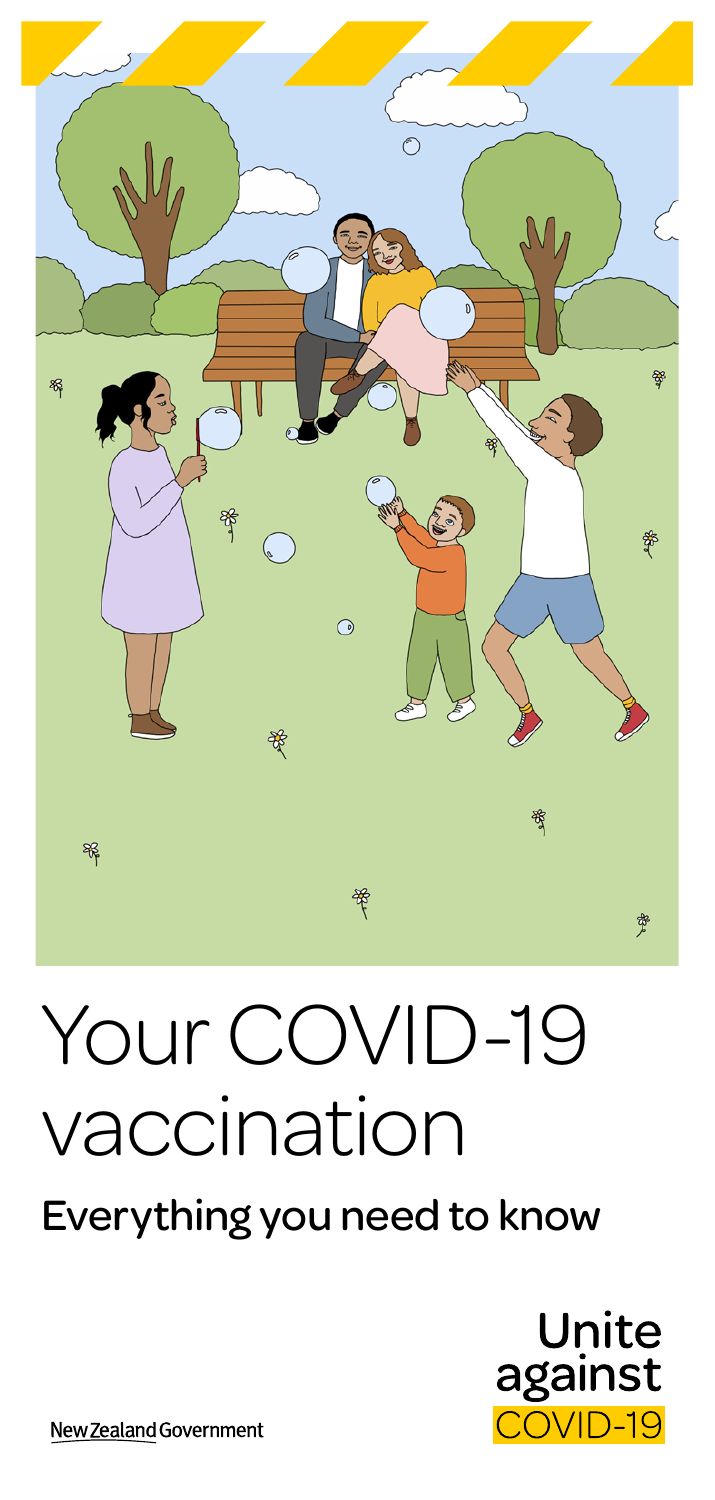

# Your COVID-19 vaccination

# Everything you need to know



New Zealand Government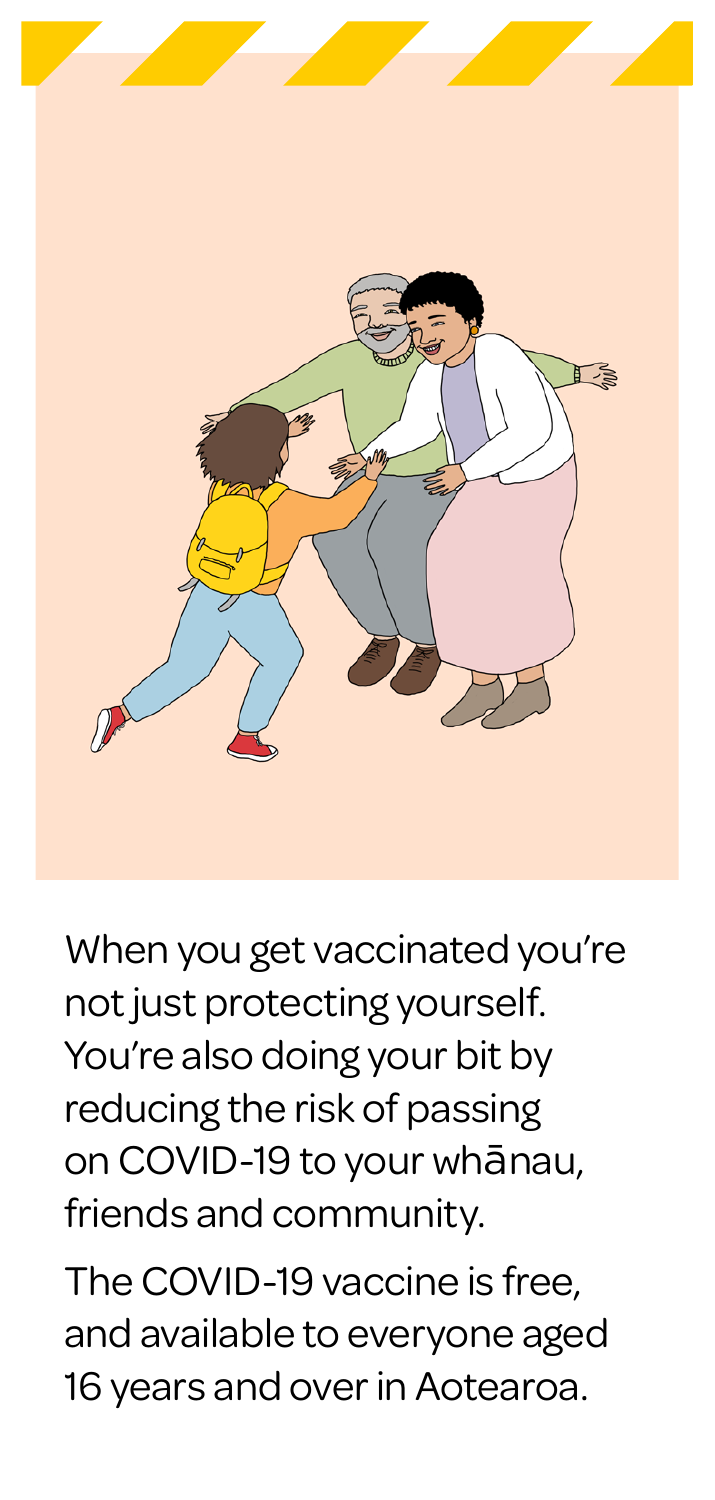

When you get vaccinated you're not just protecting yourself. You're also doing your bit by reducing the risk of passing on COVID-19 to your whānau, friends and community.

The COVID-19 vaccine is free, and available to everyone aged 16 years and over in Aotearoa.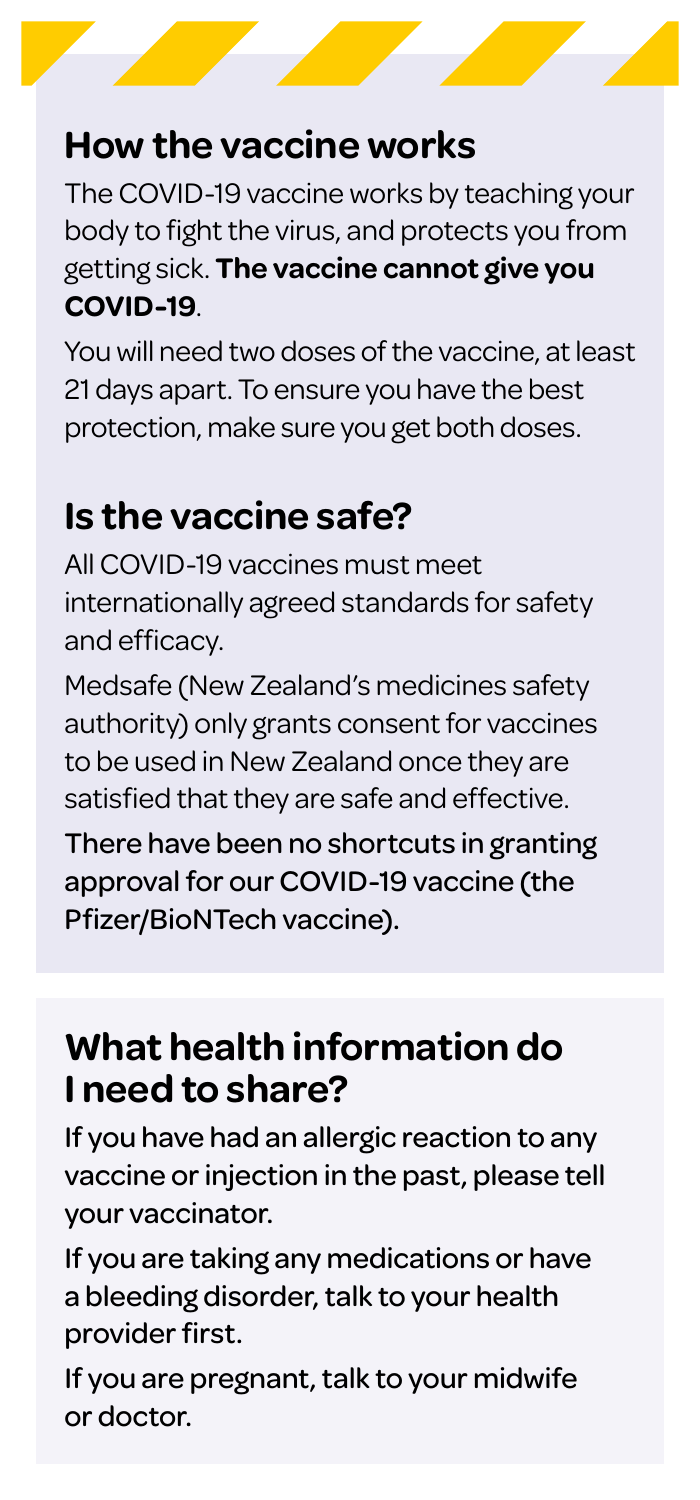# **How the vaccine works**

The COVID-19 vaccine works by teaching your body to fight the virus, and protects you from getting sick. **The vaccine cannot give you COVID-19**.

You will need two doses of the vaccine, at least 21 days apart. To ensure you have the best protection, make sure you get both doses.

## **Is the vaccine safe?**

All COVID-19 vaccines must meet internationally agreed standards for safety and efficacy.

Medsafe (New Zealand's medicines safety authority) only grants consent for vaccines to be used in New Zealand once they are satisfied that they are safe and effective.

There have been no shortcuts in granting approval for our COVID-19 vaccine (the Pfizer/BioNTech vaccine).

## **What health information do I need to share?**

If you have had an allergic reaction to any vaccine or injection in the past, please tell your vaccinator.

If you are taking any medications or have a bleeding disorder, talk to your health provider first.

If you are pregnant, talk to your midwife or doctor.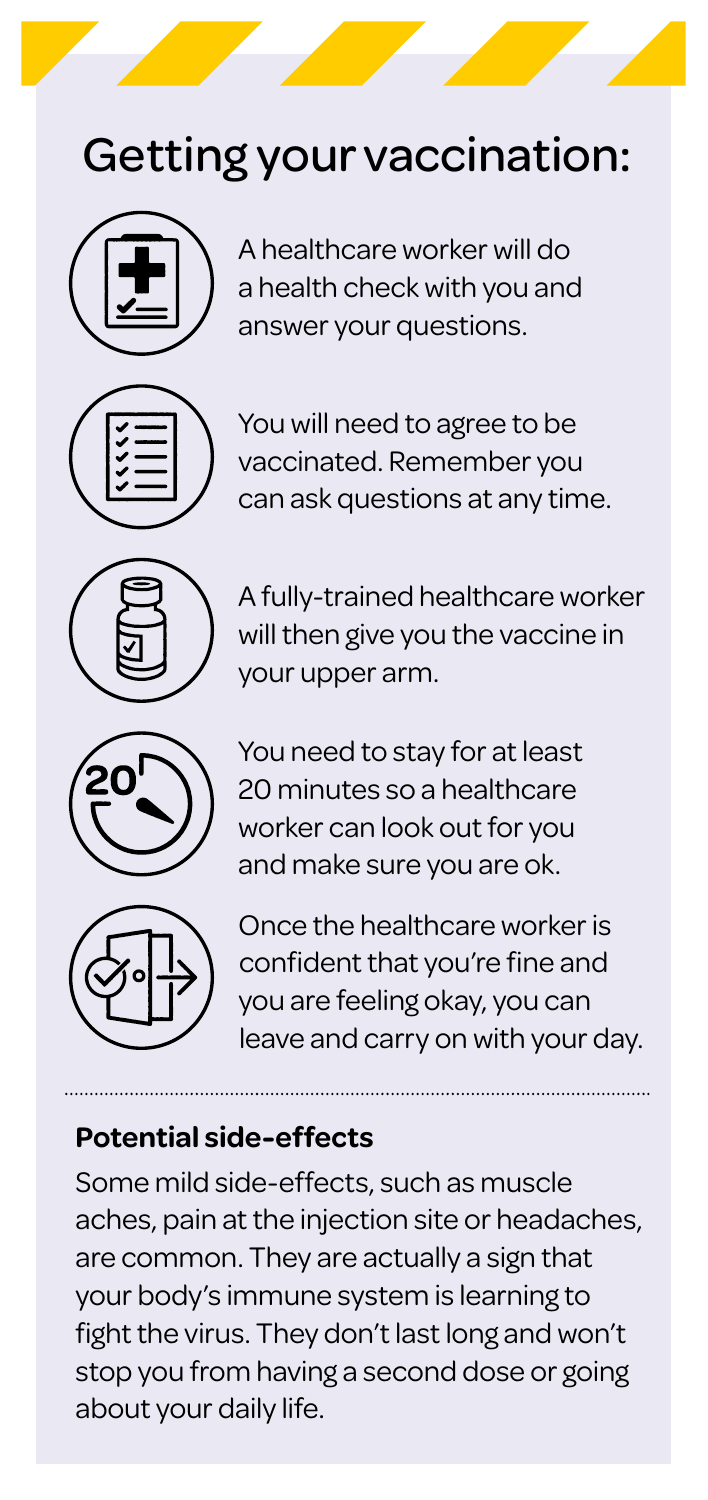# Getting your vaccination:



A healthcare worker will do a health check with you and answer your questions.



You will need to agree to be vaccinated. Remember you can ask questions at any time.



A fully-trained healthcare worker will then give you the vaccine in your upper arm.



You need to stay for at least 20 minutes so a healthcare worker can look out for you and make sure you are ok.



Once the healthcare worker is confident that you're fine and you are feeling okay, you can leave and carry on with your day.

#### **Potential side-effects**

Some mild side-effects, such as muscle aches, pain at the injection site or headaches, are common. They are actually a sign that your body's immune system is learning to fight the virus. They don't last long and won't stop you from having a second dose or going about your daily life.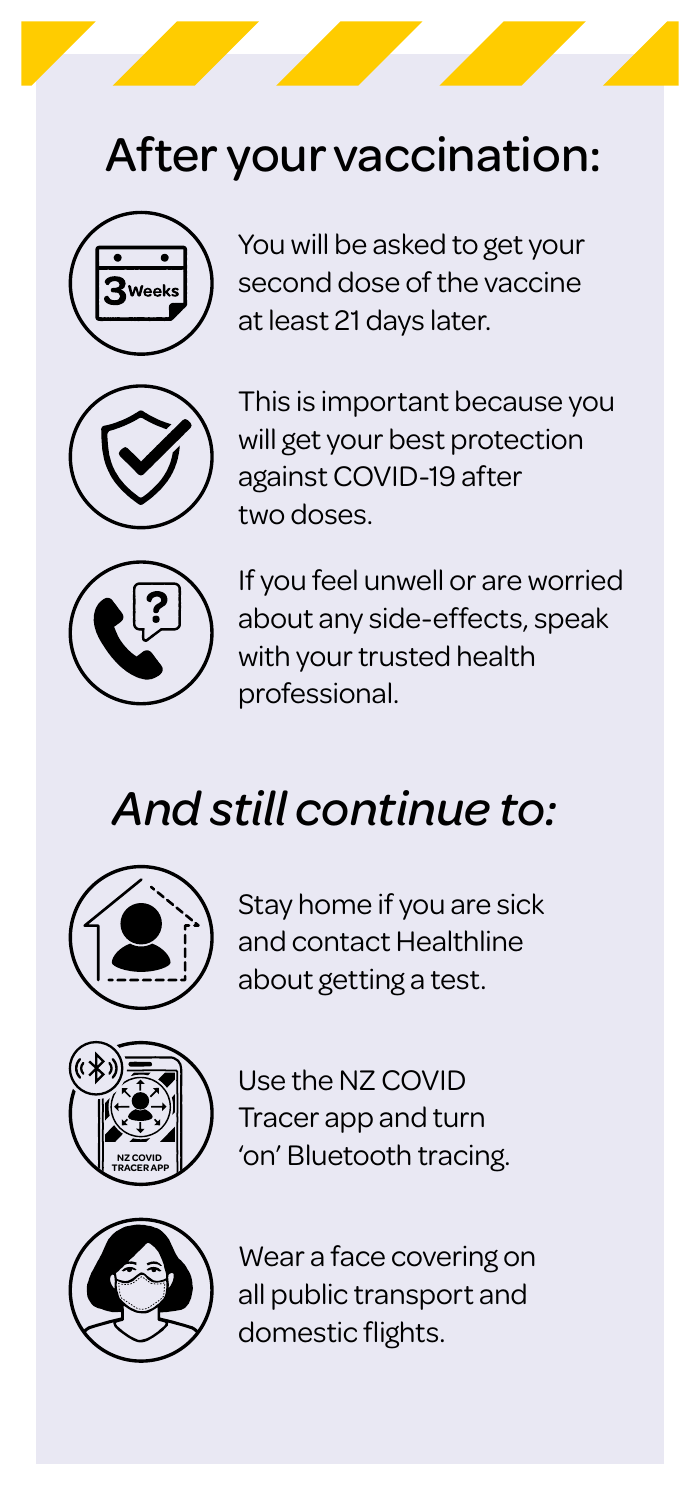# After your vaccination:



You will be asked to get your second dose of the vaccine at least 21 days later.



This is important because you will get your best protection against COVID-19 after two doses.



If you feel unwell or are worried about any side-effects, speak with your trusted health professional.

# *And still continue to:*



Stay home if you are sick and contact Healthline about getting a test.



Use the NZ COVID Tracer app and turn 'on' Bluetooth tracing.



Wear a face covering on all public transport and domestic flights.